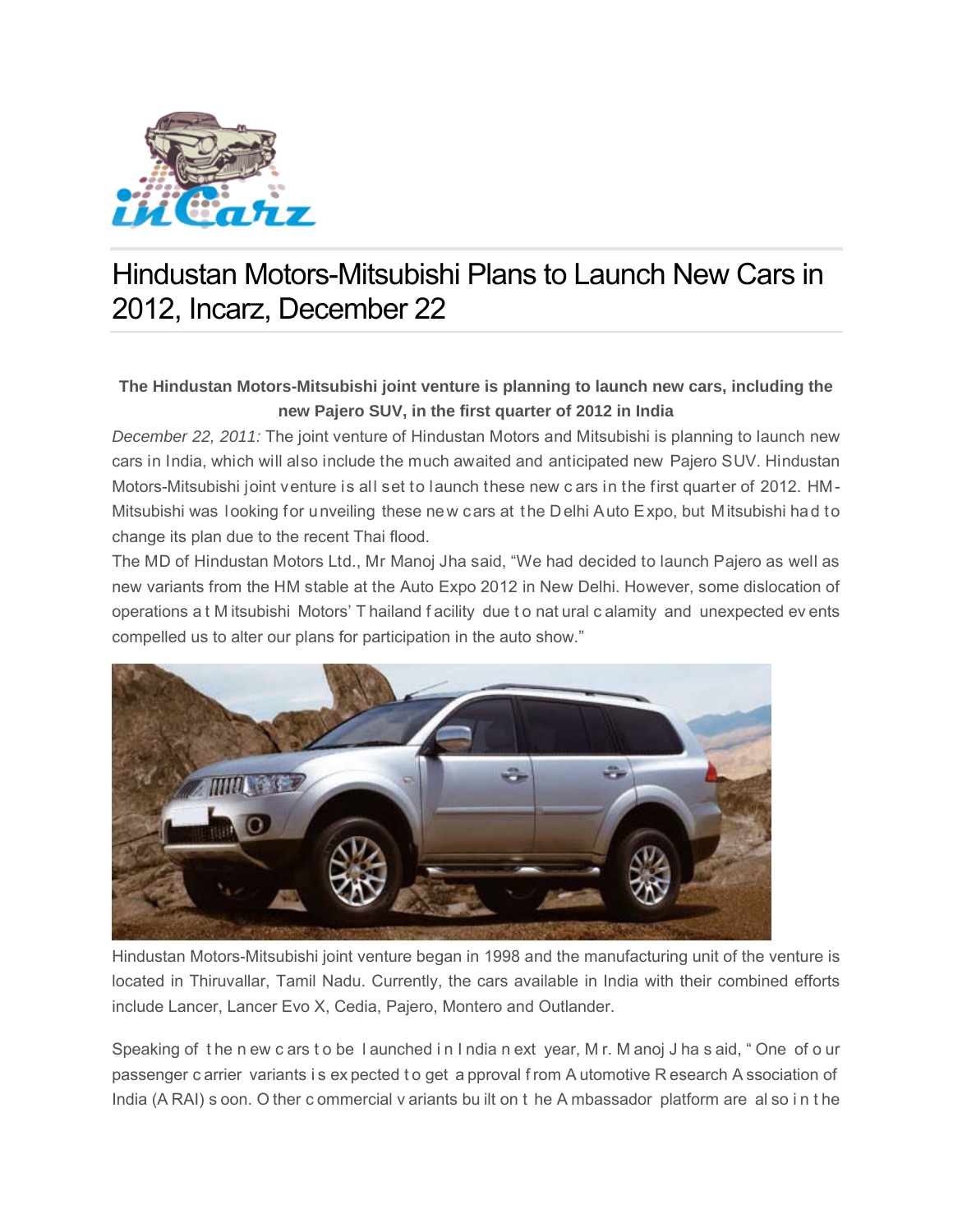

## Hindustan Motors-Mitsubishi Plans to Launch New Cars in 2012, Incarz, December 22

## **The Hindustan Motors-Mitsubishi joint venture is planning to launch new cars, including the new Pajero SUV, in the first quarter of 2012 in India**

*December 22, 2011:* The joint venture of Hindustan Motors and Mitsubishi is planning to launch new cars in India, which will also include the much awaited and anticipated new Pajero SUV. Hindustan Motors-Mitsubishi joint venture is all set to launch these new c ars in the first quarter of 2012. HM-Mitsubishi was looking for unveiling these new cars at the Delhi Auto Expo, but Mitsubishi had to change its plan due to the recent Thai flood.

The MD of Hindustan Motors Ltd., Mr Manoj Jha said, "We had decided to launch Pajero as well as new variants from the HM stable at the Auto Expo 2012 in New Delhi. However, some dislocation of operations a t M itsubishi Motors' T hailand f acility due t o nat ural c alamity and unexpected ev ents compelled us to alter our plans for participation in the auto show."



Hindustan Motors-Mitsubishi joint venture began in 1998 and the manufacturing unit of the venture is located in Thiruvallar, Tamil Nadu. Currently, the cars available in India with their combined efforts include Lancer, Lancer Evo X, Cedia, Pajero, Montero and Outlander.

Speaking of t he n ew c ars t o be l aunched i n I ndia n ext year, M r. M anoj J ha s aid, " One of o ur passenger c arrier variants i s ex pected t o get a pproval f rom A utomotive R esearch A ssociation of India (A RAI) s oon. O ther c ommercial v ariants bu ilt on t he A mbassador platform are al so i n t he